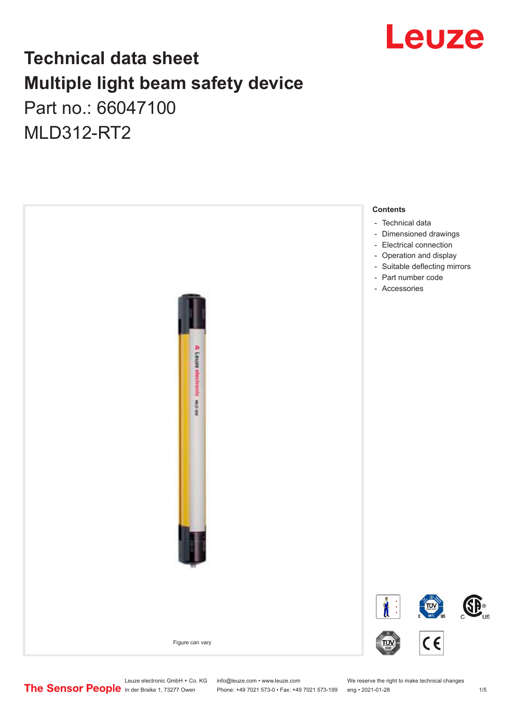

## **Technical data sheet Multiple light beam safety device**

Part no.: 66047100 MLD312-RT2



Leuze electronic GmbH + Co. KG info@leuze.com • www.leuze.com We reserve the right to make technical changes<br>
The Sensor People in der Braike 1, 73277 Owen Phone: +49 7021 573-0 • Fax: +49 7021 573-199 eng • 2021-01-28

Phone: +49 7021 573-0 • Fax: +49 7021 573-199 eng • 2021-01-28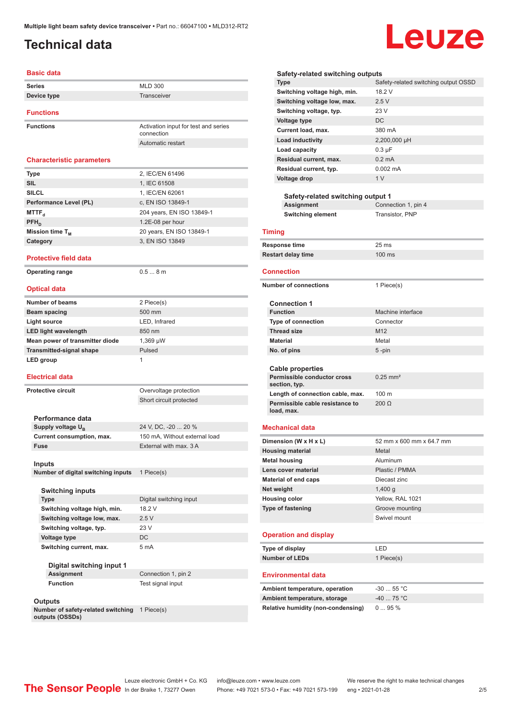### <span id="page-1-0"></span>**Technical data**

# Leuze

| Basic data                                   |                                                    |
|----------------------------------------------|----------------------------------------------------|
| Series                                       | <b>MLD 300</b>                                     |
| Device type                                  | Transceiver                                        |
|                                              |                                                    |
| <b>Functions</b>                             |                                                    |
| <b>Functions</b>                             | Activation input for test and series<br>connection |
|                                              | Automatic restart                                  |
| <b>Characteristic parameters</b>             |                                                    |
| Type                                         | 2, IEC/EN 61496                                    |
| <b>SIL</b>                                   | 1, IEC 61508                                       |
| <b>SILCL</b>                                 | 1. IEC/EN 62061                                    |
| Performance Level (PL)                       | c, EN ISO 13849-1                                  |
| MTTF,                                        | 204 years, EN ISO 13849-1                          |
| $PFH_{n}$                                    | 1.2E-08 per hour                                   |
| Mission time T <sub>M</sub>                  | 20 years, EN ISO 13849-1                           |
| Category                                     | 3, EN ISO 13849                                    |
|                                              |                                                    |
| <b>Protective field data</b>                 |                                                    |
| <b>Operating range</b>                       | 0.58m                                              |
|                                              |                                                    |
| <b>Optical data</b>                          |                                                    |
| Number of beams                              | 2 Piece(s)                                         |
| <b>Beam spacing</b>                          | 500 mm                                             |
| <b>Light source</b>                          | LED, Infrared                                      |
| <b>LED light wavelength</b>                  | 850 nm                                             |
| Mean power of transmitter diode              | 1,369 µW                                           |
| <b>Transmitted-signal shape</b>              | Pulsed                                             |
| LED group                                    | 1                                                  |
|                                              |                                                    |
| <b>Electrical data</b>                       |                                                    |
| <b>Protective circuit</b>                    | Overvoltage protection                             |
|                                              | Short circuit protected                            |
|                                              |                                                    |
| Performance data                             |                                                    |
| Supply voltage $U_{B}$                       | 24 V, DC, -20  20 %                                |
| Current consumption, max.                    | 150 mA, Without external load                      |
| Fuse                                         | External with max. 3 A                             |
|                                              |                                                    |
| Inputs<br>Number of digital switching inputs | 1 Piece(s)                                         |
|                                              |                                                    |
| <b>Switching inputs</b>                      |                                                    |
| <b>Type</b>                                  | Digital switching input                            |
| Switching voltage high, min.                 | 18.2 V                                             |
| Switching voltage low, max.                  | 2.5V                                               |
| Switching voltage, typ.                      | 23 V                                               |
| <b>Voltage type</b>                          | DC                                                 |
|                                              | 5 mA                                               |
| Switching current, max.                      |                                                    |
| Digital switching input 1                    |                                                    |
| Assignment                                   | Connection 1, pin 2                                |
| <b>Function</b>                              | Test signal input                                  |
|                                              |                                                    |
| Outputs                                      |                                                    |
|                                              |                                                    |

**Number of safety-related switching**  1 Piece(s) **outputs (OSSDs)**

**Load capacity** 0.3 µF **Residual current, max.** 0.2 mA **Residual current, typ.** 0.002 mA **Voltage drop** 1 V **Safety-related switching output 1 Assignment** Connection 1, pin 4 **Switching element** Transistor, PNP **Timing Response time** 25 ms **Restart delay time** 100 ms **Connection Number of connections** 1 Piece(s) **Connection 1 Machine interface Type of connection** Connector **Thread size** M12 **Material** Metal **No. of pins** 5 -pin **Cable properties Permissible conductor cross section, typ.** 0.25 mm² Length of connection cable, max. 100 m **Permissible cable resistance to load, max.** 200 Ω

**Type** Safety-related switching output OSSD

**Safety-related switching outputs**

**Switching voltage high, min.** 18.2 V Switching voltage low, max. 2.5 V **Switching voltage, typ.** 23 V **Voltage type** DC **Current load, max.** 380 mA **Load inductivity** 2,200,000 µH

#### **Mechanical data**

| Dimension (W x H x L)        | 52 mm x 600 mm x 64.7 mm |
|------------------------------|--------------------------|
| <b>Housing material</b>      | Metal                    |
| <b>Metal housing</b>         | Aluminum                 |
| Lens cover material          | Plastic / PMMA           |
| Material of end caps         | Diecast zinc             |
| Net weight                   | $1,400$ q                |
| <b>Housing color</b>         | Yellow, RAL 1021         |
| <b>Type of fastening</b>     | Groove mounting          |
|                              | Swivel mount             |
| <b>Operation and display</b> |                          |

| Type of display       | I FD.      |
|-----------------------|------------|
| <b>Number of LEDs</b> | 1 Piece(s) |

#### **Environmental data**

| Ambient temperature, operation     | -30  55 °C  |
|------------------------------------|-------------|
| Ambient temperature, storage       | $-40$ 75 °C |
| Relative humidity (non-condensing) | $095\%$     |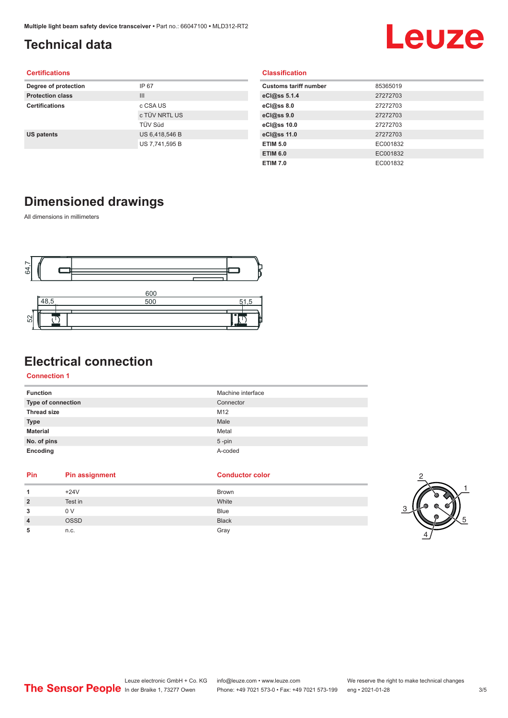### <span id="page-2-0"></span>**Technical data**

## Leuze

#### **Certifications**

| Degree of protection    | IP 67          |
|-------------------------|----------------|
| <b>Protection class</b> | $\mathbf{III}$ |
| <b>Certifications</b>   | c CSA US       |
|                         | c TÜV NRTL US  |
|                         | <b>TÜV Süd</b> |
| <b>US patents</b>       | US 6,418,546 B |
|                         | US 7,741,595 B |
|                         |                |

|  | <b>Classification</b> |  |  |
|--|-----------------------|--|--|
|  |                       |  |  |

| <b>Customs tariff number</b> | 85365019 |
|------------------------------|----------|
| eCl@ss 5.1.4                 | 27272703 |
| eCl@ss 8.0                   | 27272703 |
| eCl@ss 9.0                   | 27272703 |
| eCl@ss 10.0                  | 27272703 |
| eCl@ss 11.0                  | 27272703 |
| <b>ETIM 5.0</b>              | EC001832 |
| <b>ETIM 6.0</b>              | EC001832 |
| <b>ETIM 7.0</b>              | EC001832 |

#### **Dimensioned drawings**

All dimensions in millimeters



### **Electrical connection**

#### **Connection 1**

| Machine interface |
|-------------------|
| Connector         |
| M12               |
| Male              |
| Metal             |
| $5$ -pin          |
| A-coded           |
|                   |

| Pin                     | <b>Pin assignment</b> | <b>Conductor color</b> | О |
|-------------------------|-----------------------|------------------------|---|
|                         | $+24V$                | <b>Brown</b>           |   |
| 2                       | Test in               | White                  |   |
| 3                       | 0 V                   | <b>Blue</b>            |   |
| $\overline{\mathbf{4}}$ | OSSD                  | <b>Black</b>           |   |
| 5                       | n.c.                  | Gray                   |   |

1

5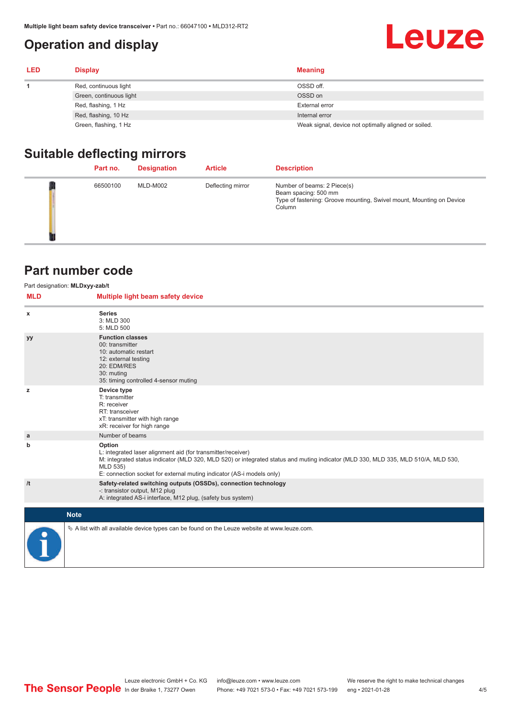#### <span id="page-3-0"></span>**Operation and display**

## **Leuze**

| <b>LED</b> | <b>Display</b>          | <b>Meaning</b>                                       |
|------------|-------------------------|------------------------------------------------------|
|            | Red, continuous light   | OSSD off.                                            |
|            | Green, continuous light | OSSD on                                              |
|            | Red, flashing, 1 Hz     | <b>External error</b>                                |
|            | Red, flashing, 10 Hz    | Internal error                                       |
|            | Green, flashing, 1 Hz   | Weak signal, device not optimally aligned or soiled. |

#### **Suitable deflecting mirrors**

| Part no. | <b>Designation</b> | <b>Article</b>    | <b>Description</b>                                                                                                                    |
|----------|--------------------|-------------------|---------------------------------------------------------------------------------------------------------------------------------------|
| 66500100 | MLD-M002           | Deflecting mirror | Number of beams: 2 Piece(s)<br>Beam spacing: 500 mm<br>Type of fastening: Groove mounting, Swivel mount, Mounting on Device<br>Column |

#### **Part number code**

|            | Part designation: MLDxyy-zab/t                                                                                                                                                                                                                                                                    |
|------------|---------------------------------------------------------------------------------------------------------------------------------------------------------------------------------------------------------------------------------------------------------------------------------------------------|
| <b>MLD</b> | Multiple light beam safety device                                                                                                                                                                                                                                                                 |
| х          | <b>Series</b><br>3: MLD 300<br>5: MLD 500                                                                                                                                                                                                                                                         |
| <b>yy</b>  | <b>Function classes</b><br>00: transmitter<br>10: automatic restart<br>12: external testing<br>20: EDM/RES<br>30: muting<br>35: timing controlled 4-sensor muting                                                                                                                                 |
| z          | Device type<br>T: transmitter<br>R: receiver<br>RT: transceiver<br>xT: transmitter with high range<br>xR: receiver for high range                                                                                                                                                                 |
| a          | Number of beams                                                                                                                                                                                                                                                                                   |
| b          | Option<br>L: integrated laser alignment aid (for transmitter/receiver)<br>M: integrated status indicator (MLD 320, MLD 520) or integrated status and muting indicator (MLD 330, MLD 335, MLD 510/A, MLD 530,<br>MLD 535)<br>E: connection socket for external muting indicator (AS-i models only) |
| /t         | Safety-related switching outputs (OSSDs), connection technology<br>-: transistor output, M12 plug<br>A: integrated AS-i interface, M12 plug, (safety bus system)                                                                                                                                  |
|            | <b>Note</b>                                                                                                                                                                                                                                                                                       |
|            | $\&$ A list with all available device types can be found on the Leuze website at www.leuze.com.                                                                                                                                                                                                   |